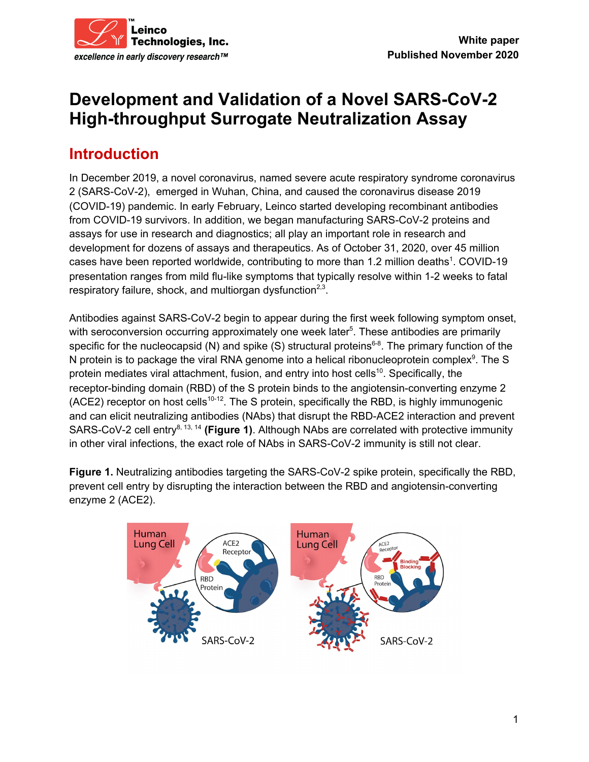

# **Development and Validation of a Novel SARS-CoV-2 High-throughput Surrogate Neutralization Assay**

# **Introduction**

In December 2019, a novel coronavirus, named severe acute respiratory syndrome coronavirus 2 (SARS-CoV-2), emerged in Wuhan, China, and caused the coronavirus disease 2019 (COVID-19) pandemic. In early February, Leinco started developing recombinant antibodies from COVID-19 survivors. In addition, we began manufacturing SARS-CoV-2 proteins and assays for use in research and diagnostics; all play an important role in research and development for dozens of assays and therapeutics. As of October 31, 2020, over 45 million cases have been reported worldwide, contributing to more than 1.2 million deaths<sup>1</sup>. COVID-19 presentation ranges from mild flu-like symptoms that typically resolve within 1-2 weeks to fatal respiratory failure, shock, and multiorgan dysfunction $2.3$ .

Antibodies against SARS-CoV-2 begin to appear during the first week following symptom onset, with seroconversion occurring approximately one week later<sup>5</sup>. These antibodies are primarily specific for the nucleocapsid (N) and spike (S) structural proteins<sup>6-8</sup>. The primary function of the N protein is to package the viral RNA genome into a helical ribonucleoprotein complex<sup>9</sup>. The S protein mediates viral attachment, fusion, and entry into host cells<sup>10</sup>. Specifically, the receptor-binding domain (RBD) of the S protein binds to the angiotensin-converting enzyme 2 (ACE2) receptor on host cells<sup>10-12</sup>. The S protein, specifically the RBD, is highly immunogenic and can elicit neutralizing antibodies (NAbs) that disrupt the RBD-ACE2 interaction and prevent SARS-CoV-2 cell entry<sup>8, 13, 14</sup> (Figure 1). Although NAbs are correlated with protective immunity in other viral infections, the exact role of NAbs in SARS-CoV-2 immunity is still not clear.

**Figure 1.** Neutralizing antibodies targeting the SARS-CoV-2 spike protein, specifically the RBD, prevent cell entry by disrupting the interaction between the RBD and angiotensin-converting enzyme 2 (ACE2).

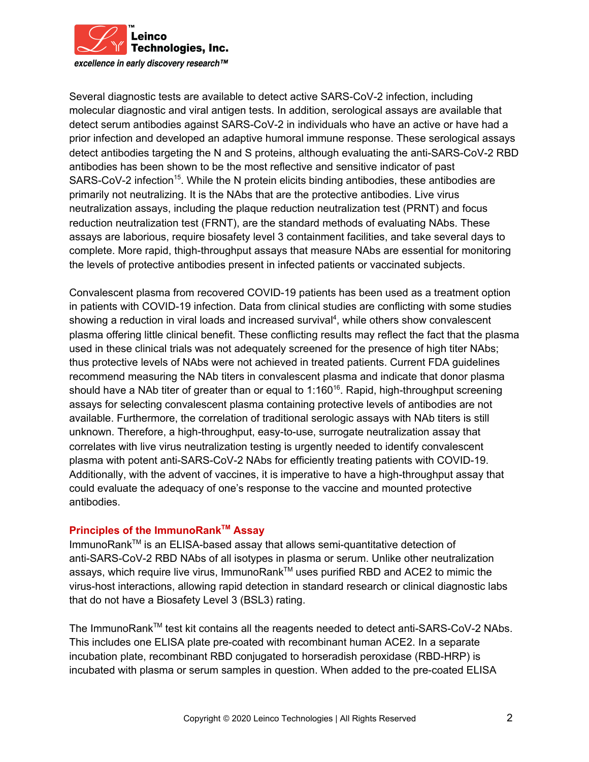

excellence in early discovery research™

Several diagnostic tests are available to detect active SARS-CoV-2 infection, including molecular diagnostic and viral antigen tests. In addition, serological assays are available that detect serum antibodies against SARS-CoV-2 in individuals who have an active or have had a prior infection and developed an adaptive humoral immune response. These serological assays detect antibodies targeting the N and S proteins, although evaluating the anti-SARS-CoV-2 RBD antibodies has been shown to be the most reflective and sensitive indicator of past SARS-CoV-2 infection<sup>15</sup>. While the N protein elicits binding antibodies, these antibodies are primarily not neutralizing. It is the NAbs that are the protective antibodies. Live virus neutralization assays, including the plaque reduction neutralization test (PRNT) and focus reduction neutralization test (FRNT), are the standard methods of evaluating NAbs. These assays are laborious, require biosafety level 3 containment facilities, and take several days to complete. More rapid, thigh-throughput assays that measure NAbs are essential for monitoring the levels of protective antibodies present in infected patients or vaccinated subjects.

Convalescent plasma from recovered COVID-19 patients has been used as a treatment option in patients with COVID-19 infection. Data from clinical studies are conflicting with some studies showing a reduction in viral loads and increased survival<sup>4</sup>, while others show convalescent plasma offering little clinical benefit. These conflicting results may reflect the fact that the plasma used in these clinical trials was not adequately screened for the presence of high titer NAbs; thus protective levels of NAbs were not achieved in treated patients. Current FDA guidelines recommend measuring the NAb titers in convalescent plasma and indicate that donor plasma should have a NAb titer of greater than or equal to  $1:160^{16}$ . Rapid, high-throughput screening assays for selecting convalescent plasma containing protective levels of antibodies are not available. Furthermore, the correlation of traditional serologic assays with NAb titers is still unknown. Therefore, a high-throughput, easy-to-use, surrogate neutralization assay that correlates with live virus neutralization testing is urgently needed to identify convalescent plasma with potent anti-SARS-CoV-2 NAbs for efficiently treating patients with COVID-19. Additionally, with the advent of vaccines, it is imperative to have a high-throughput assay that could evaluate the adequacy of one's response to the vaccine and mounted protective antibodies.

#### **Principles of the ImmunoRank TM Assay**

ImmunoRank™ is an ELISA-based assay that allows semi-quantitative detection of anti-SARS-CoV-2 RBD NAbs of all isotypes in plasma or serum. Unlike other neutralization assays, which require live virus, ImmunoRank™ uses purified RBD and ACE2 to mimic the virus-host interactions, allowing rapid detection in standard research or clinical diagnostic labs that do not have a Biosafety Level 3 (BSL3) rating.

The ImmunoRank<sup>™</sup> test kit contains all the reagents needed to detect anti-SARS-CoV-2 NAbs. This includes one ELISA plate pre-coated with recombinant human ACE2. In a separate incubation plate, recombinant RBD conjugated to horseradish peroxidase (RBD-HRP) is incubated with plasma or serum samples in question. When added to the pre-coated ELISA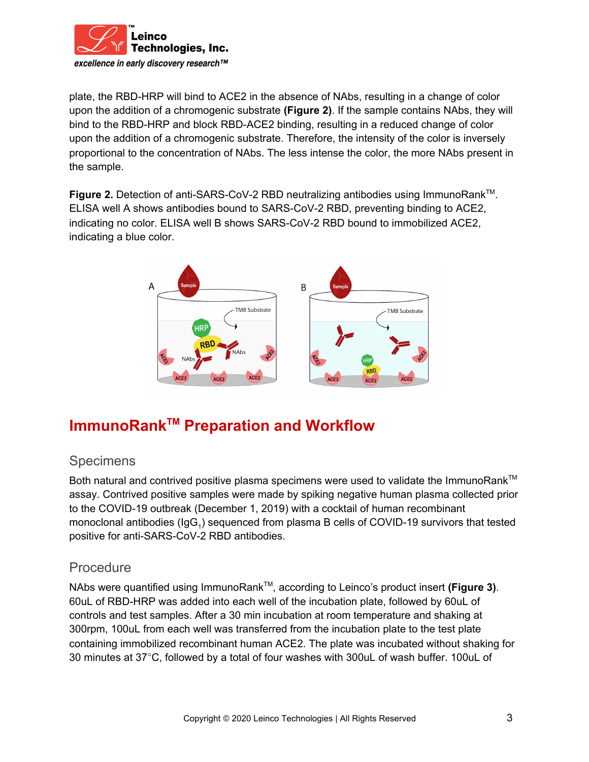

plate, the RBD-HRP will bind to ACE2 in the absence of NAbs, resulting in a change of color upon the addition of a chromogenic substrate **(Figure 2)**. If the sample contains NAbs, they will bind to the RBD-HRP and block RBD-ACE2 binding, resulting in a reduced change of color upon the addition of a chromogenic substrate. Therefore, the intensity of the color is inversely proportional to the concentration of NAbs. The less intense the color, the more NAbs present in the sample.

**Figure 2.** Detection of anti-SARS-CoV-2 RBD neutralizing antibodies using ImmunoRank<sup>™</sup>. ELISA well A shows antibodies bound to SARS-CoV-2 RBD, preventing binding to ACE2, indicating no color. ELISA well B shows SARS-CoV-2 RBD bound to immobilized ACE2, indicating a blue color.



# **ImmunoRank TM Preparation and Workflow**

### **Specimens**

Both natural and contrived positive plasma specimens were used to validate the ImmunoRank™ assay. Contrived positive samples were made by spiking negative human plasma collected prior to the COVID-19 outbreak (December 1, 2019) with a cocktail of human recombinant monoclonal antibodies (IgG<sub>1</sub>) sequenced from plasma B cells of COVID-19 survivors that tested positive for anti-SARS-CoV-2 RBD antibodies.

### Procedure

NAbs were quantified using ImmunoRank™, according to Leinco's product insert (Figure 3). 60uL of RBD-HRP was added into each well of the incubation plate, followed by 60uL of controls and test samples. After a 30 min incubation at room temperature and shaking at 300rpm, 100uL from each well was transferred from the incubation plate to the test plate containing immobilized recombinant human ACE2. The plate was incubated without shaking for 30 minutes at 37°C, followed by a total of four washes with 300uL of wash buffer. 100uL of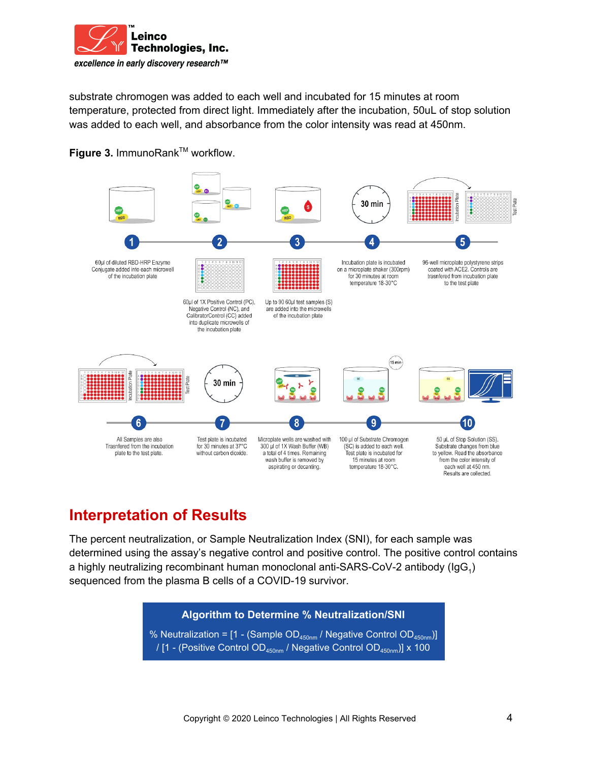

substrate chromogen was added to each well and incubated for 15 minutes at room temperature, protected from direct light. Immediately after the incubation, 50uL of stop solution was added to each well, and absorbance from the color intensity was read at 450nm.





## **Interpretation of Results**

The percent neutralization, or Sample Neutralization Index (SNI), for each sample was determined using the assay's negative control and positive control. The positive control contains a highly neutralizing recombinant human monoclonal anti-SARS-CoV-2 antibody (IgG<sub>1</sub>) sequenced from the plasma B cells of a COVID-19 survivor.

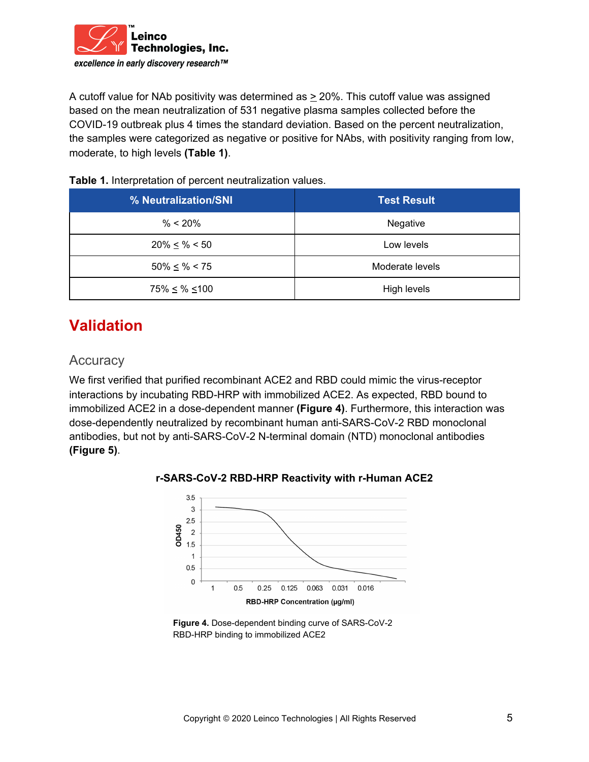

A cutoff value for NAb positivity was determined as > 20%. This cutoff value was assigned based on the mean neutralization of 531 negative plasma samples collected before the COVID-19 outbreak plus 4 times the standard deviation. Based on the percent neutralization, the samples were categorized as negative or positive for NAbs, with positivity ranging from low, moderate, to high levels **(Table 1)**.

#### **Table 1.** Interpretation of percent neutralization values.

| % Neutralization/SNI    | <b>Test Result</b> |
|-------------------------|--------------------|
| $% < 20\%$              | Negative           |
| $20\% \leq % < 50$      | Low levels         |
| $50\% \leq % < 75$      | Moderate levels    |
| $75\% \leq \% \leq 100$ | High levels        |

# **Validation**

#### **Accuracy**

We first verified that purified recombinant ACE2 and RBD could mimic the virus-receptor interactions by incubating RBD-HRP with immobilized ACE2. As expected, RBD bound to immobilized ACE2 in a dose-dependent manner **(Figure 4)**. Furthermore, this interaction was dose-dependently neutralized by recombinant human anti-SARS-CoV-2 RBD monoclonal antibodies, but not by anti-SARS-CoV-2 N-terminal domain (NTD) monoclonal antibodies **(Figure 5)**.



**r-SARS-CoV-2 RBD-HRP Reactivity with r-Human ACE2**

**Figure 4.** Dose-dependent binding curve of SARS-CoV-2 RBD-HRP binding to immobilized ACE2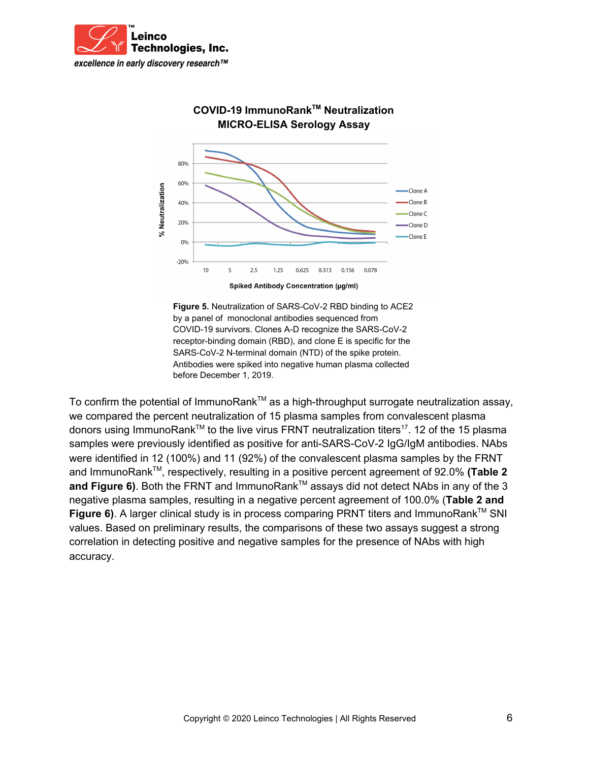



### **COVID-19 ImmunoRank TM Neutralization MICRO-ELISA Serology Assay**

**Figure 5.** Neutralization of SARS-CoV-2 RBD binding to ACE2 by a panel of monoclonal antibodies sequenced from COVID-19 survivors. Clones A-D recognize the SARS-CoV-2 receptor-binding domain (RBD), and clone E is specific for the SARS-CoV-2 N-terminal domain (NTD) of the spike protein. Antibodies were spiked into negative human plasma collected before December 1, 2019.

To confirm the potential of ImmunoRank<sup>™</sup> as a high-throughput surrogate neutralization assay, we compared the percent neutralization of 15 plasma samples from convalescent plasma donors using ImmunoRank™ to the live virus FRNT neutralization titers<sup>17</sup>. 12 of the 15 plasma samples were previously identified as positive for anti-SARS-CoV-2 IgG/IgM antibodies. NAbs were identified in 12 (100%) and 11 (92%) of the convalescent plasma samples by the FRNT and ImmunoRank™, respectively, resulting in a positive percent agreement of 92.0% (Table 2 and Figure 6). Both the FRNT and ImmunoRank<sup>™</sup> assays did not detect NAbs in any of the 3 negative plasma samples, resulting in a negative percent agreement of 100.0% (**Table 2 and Figure 6).** A larger clinical study is in process comparing PRNT titers and ImmunoRank™ SNI values. Based on preliminary results, the comparisons of these two assays suggest a strong correlation in detecting positive and negative samples for the presence of NAbs with high accuracy.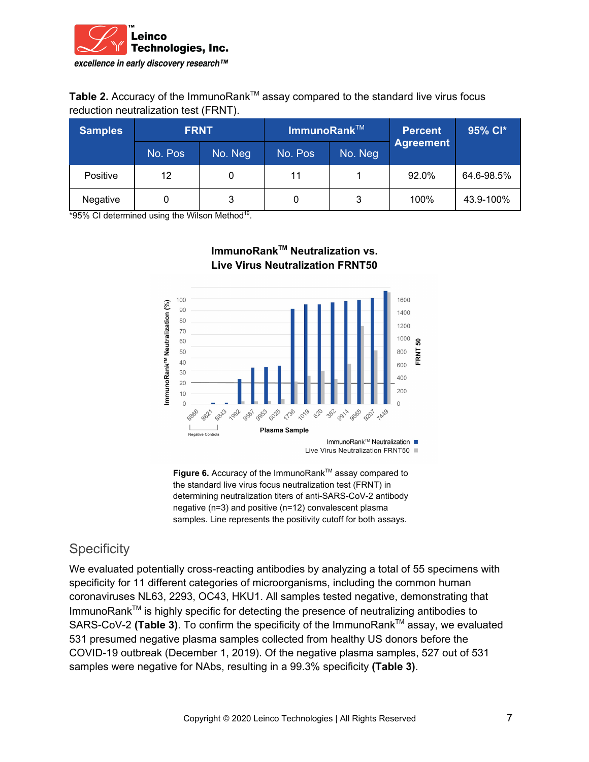

Table 2. Accuracy of the ImmunoRank<sup>™</sup> assay compared to the standard live virus focus reduction neutralization test (FRNT).

| <b>Samples</b>  | <b>FRNT</b> |         | ImmunoRank $TM$ |         | Percent          | 95% Cl*    |
|-----------------|-------------|---------|-----------------|---------|------------------|------------|
|                 | No. Pos     | No. Neg | No. Pos         | No. Neg | <b>Agreement</b> |            |
| <b>Positive</b> | 12          |         | 11              |         | 92.0%            | 64.6-98.5% |
| Negative        |             |         |                 | 3       | 100%             | 43.9-100%  |

**ImmunoRank TM Neutralization vs. Live Virus Neutralization FRNT50**

 $*95\%$  CI determined using the Wilson Method<sup>19</sup>.



Live Virus Neutralization FRNT50

**Figure 6.** Accuracy of the ImmunoRank™ assay compared to the standard live virus focus neutralization test (FRNT) in determining neutralization titers of anti-SARS-CoV-2 antibody negative (n=3) and positive (n=12) convalescent plasma samples. Line represents the positivity cutoff for both assays.

### **Specificity**

We evaluated potentially cross-reacting antibodies by analyzing a total of 55 specimens with specificity for 11 different categories of microorganisms, including the common human coronaviruses NL63, 2293, OC43, HKU1. All samples tested negative, demonstrating that ImmunoRank™ is highly specific for detecting the presence of neutralizing antibodies to SARS-CoV-2 (Table 3). To confirm the specificity of the ImmunoRank<sup>™</sup> assay, we evaluated 531 presumed negative plasma samples collected from healthy US donors before the COVID-19 outbreak (December 1, 2019). Of the negative plasma samples, 527 out of 531 samples were negative for NAbs, resulting in a 99.3% specificity **(Table 3)**.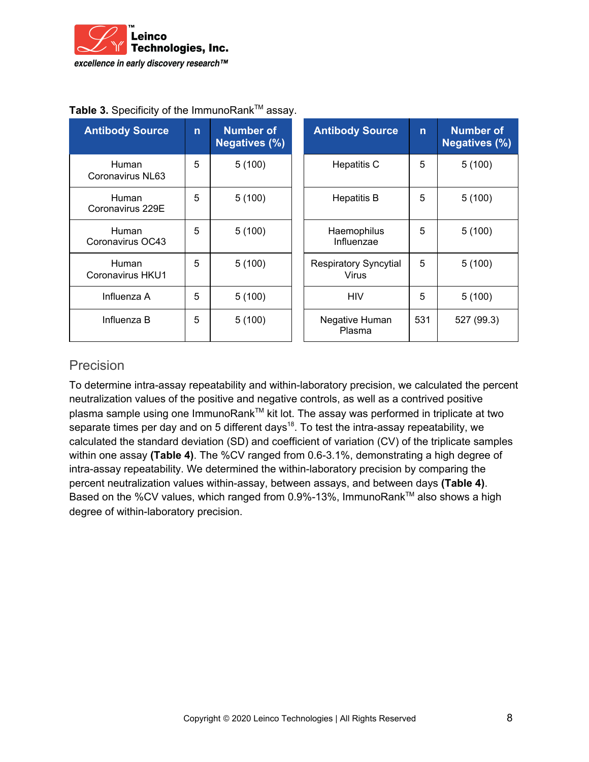

| <b>Antibody Source</b>           | $\mathsf{n}$ | Number of<br><b>Negatives (%)</b> | <b>Antibody Source</b>                       | $\mathsf{n}$ | <b>Number of</b><br><b>Negatives (%)</b> |
|----------------------------------|--------------|-----------------------------------|----------------------------------------------|--------------|------------------------------------------|
| <b>Human</b><br>Coronavirus NL63 | 5            | 5(100)                            | <b>Hepatitis C</b>                           | 5            | 5(100)                                   |
| <b>Human</b><br>Coronavirus 229E | 5            | 5(100)                            | <b>Hepatitis B</b>                           | 5            | 5(100)                                   |
| <b>Human</b><br>Coronavirus OC43 | 5            | 5(100)                            | Haemophilus<br>Influenzae                    | 5            | 5(100)                                   |
| Human<br>Coronavirus HKU1        | 5            | 5(100)                            | <b>Respiratory Syncytial</b><br><b>Virus</b> | 5            | 5(100)                                   |
| Influenza A                      | 5            | 5(100)                            | <b>HIV</b>                                   | 5            | 5(100)                                   |
| Influenza B                      | 5            | 5(100)                            | Negative Human<br>Plasma                     | 531          | 527 (99.3)                               |

#### Table 3. Specificity of the ImmunoRank<sup>™</sup> assay.

#### Precision

To determine intra-assay repeatability and within-laboratory precision, we calculated the percent neutralization values of the positive and negative controls, as well as a contrived positive plasma sample using one ImmunoRank™ kit lot. The assay was performed in triplicate at two separate times per day and on 5 different days<sup>18</sup>. To test the intra-assay repeatability, we calculated the standard deviation (SD) and coefficient of variation (CV) of the triplicate samples within one assay **(Table 4)**. The %CV ranged from 0.6-3.1%, demonstrating a high degree of intra-assay repeatability. We determined the within-laboratory precision by comparing the percent neutralization values within-assay, between assays, and between days **(Table 4)**. Based on the %CV values, which ranged from 0.9%-13%, ImmunoRank™ also shows a high degree of within-laboratory precision.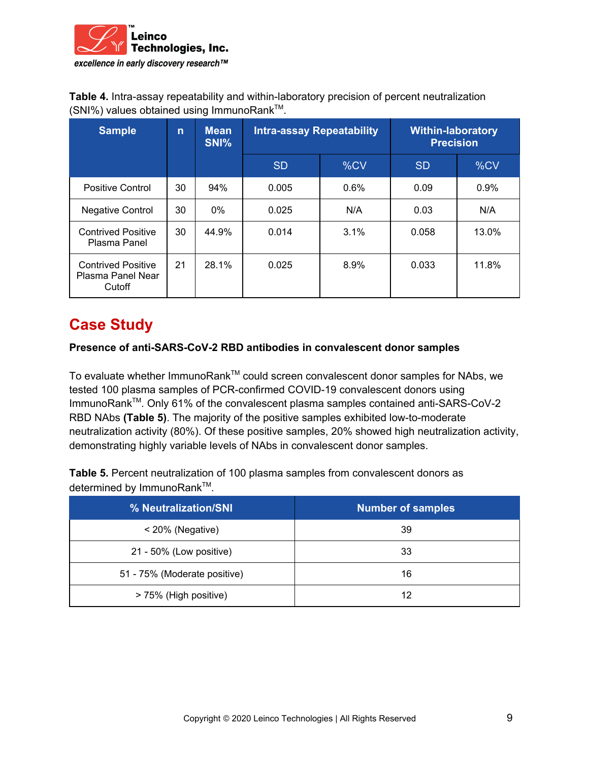

**Table 4.** Intra-assay repeatability and within-laboratory precision of percent neutralization (SNI%) values obtained using ImmunoRank™.

| <b>Sample</b>                                            | $\mathsf{n}$ | <b>Mean</b><br>SNI% | <b>Intra-assay Repeatability</b> |         | <b>Within-laboratory</b><br><b>Precision</b> |         |
|----------------------------------------------------------|--------------|---------------------|----------------------------------|---------|----------------------------------------------|---------|
|                                                          |              |                     | <b>SD</b>                        | %CV     | <b>SD</b>                                    | %CV     |
| Positive Control                                         | 30           | 94%                 | 0.005                            | $0.6\%$ | 0.09                                         | $0.9\%$ |
| <b>Negative Control</b>                                  | 30           | $0\%$               | 0.025                            | N/A     | 0.03                                         | N/A     |
| <b>Contrived Positive</b><br>Plasma Panel                | 30           | 44.9%               | 0.014                            | 3.1%    | 0.058                                        | 13.0%   |
| <b>Contrived Positive</b><br>Plasma Panel Near<br>Cutoff | 21           | 28.1%               | 0.025                            | 8.9%    | 0.033                                        | 11.8%   |

## **Case Study**

#### **Presence of anti-SARS-CoV-2 RBD antibodies in convalescent donor samples**

To evaluate whether ImmunoRank™ could screen convalescent donor samples for NAbs, we tested 100 plasma samples of PCR-confirmed COVID-19 convalescent donors using ImmunoRank™. Only 61% of the convalescent plasma samples contained anti-SARS-CoV-2 RBD NAbs **(Table 5)**. The majority of the positive samples exhibited low-to-moderate neutralization activity (80%). Of these positive samples, 20% showed high neutralization activity, demonstrating highly variable levels of NAbs in convalescent donor samples.

**Table 5.** Percent neutralization of 100 plasma samples from convalescent donors as determined by ImmunoRank™.

| % Neutralization/SNI         | <b>Number of samples</b> |
|------------------------------|--------------------------|
| $<$ 20% (Negative)           | 39                       |
| 21 - 50% (Low positive)      | 33                       |
| 51 - 75% (Moderate positive) | 16                       |
| > 75% (High positive)        | 12                       |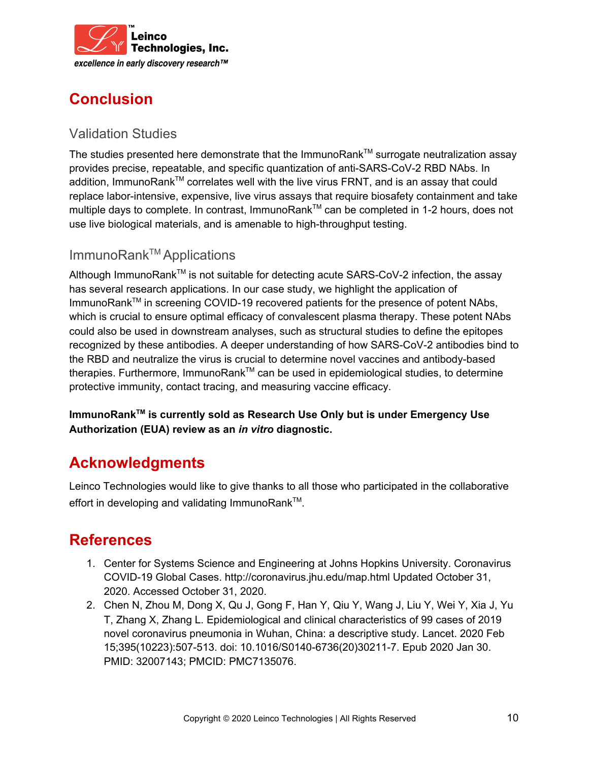

# **Conclusion**

### Validation Studies

The studies presented here demonstrate that the ImmunoRank™ surrogate neutralization assay provides precise, repeatable, and specific quantization of anti-SARS-CoV-2 RBD NAbs. In addition, ImmunoRank<sup>™</sup> correlates well with the live virus FRNT, and is an assay that could replace labor-intensive, expensive, live virus assays that require biosafety containment and take multiple days to complete. In contrast, ImmunoRank™ can be completed in 1-2 hours, does not use live biological materials, and is amenable to high-throughput testing.

### ImmunoRank TM Applications

Although ImmunoRank<sup>™</sup> is not suitable for detecting acute SARS-CoV-2 infection, the assay has several research applications. In our case study, we highlight the application of ImmunoRank<sup>™</sup> in screening COVID-19 recovered patients for the presence of potent NAbs, which is crucial to ensure optimal efficacy of convalescent plasma therapy. These potent NAbs could also be used in downstream analyses, such as structural studies to define the epitopes recognized by these antibodies. A deeper understanding of how SARS-CoV-2 antibodies bind to the RBD and neutralize the virus is crucial to determine novel vaccines and antibody-based therapies. Furthermore, ImmunoRank™ can be used in epidemiological studies, to determine protective immunity, contact tracing, and measuring vaccine efficacy.

**ImmunoRank TM is currently sold as Research Use Only but is under Emergency Use Authorization (EUA) review as an** *in vitro* **diagnostic.**

## **Acknowledgments**

Leinco Technologies would like to give thanks to all those who participated in the collaborative effort in developing and validating ImmunoRank™.

## **References**

- 1. Center for Systems Science and Engineering at Johns Hopkins University. Coronavirus COVID-19 Global Cases. http://coronavirus.jhu.edu/map.html Updated October 31, 2020. Accessed October 31, 2020.
- 2. Chen N, Zhou M, Dong X, Qu J, Gong F, Han Y, Qiu Y, Wang J, Liu Y, Wei Y, Xia J, Yu T, Zhang X, Zhang L. Epidemiological and clinical characteristics of 99 cases of 2019 novel coronavirus pneumonia in Wuhan, China: a descriptive study. Lancet. 2020 Feb 15;395(10223):507-513. doi: 10.1016/S0140-6736(20)30211-7. Epub 2020 Jan 30. PMID: 32007143; PMCID: PMC7135076.